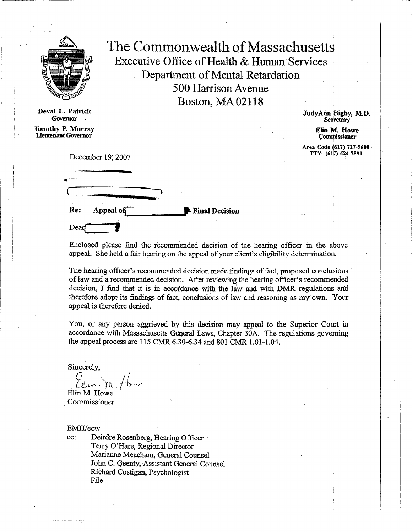

**Devai L. Patrick Governor**

**Timothy P. Murray Lieutenant Governor**

The Commonwealth of Massachusetts Executive Office of Health & Human Services Department of Mental Retardation 500 Harrison Avenue Boston, MA 02118

> JudyAnn Bigby, M.D. **Secretary**

> > **Elm M. Howe Commissioner**

**Area Code (617) 727-5608 • TTY: (617) 624-7590**

December 19, 2007



Enclosed please find the recommended decision of the hearing officer in the above appeal. She held a fair hearing on the appeal of your client's eligibility determination.

The hearing officer's recommended decision made findings of fact, proposed conclusions of law and a recommended decision. After reviewing the hearing officer's recommended decision, I find that it is in accordance with the law and with DMR regulations: and therefore adopt its findings of fact, conclusions of law and reasoning as my own. Your appeal is therefore denied.

You, or any person aggrieved by this decision may appeal to the Superior Court in accordance with. Massachusetts General Laws, Chapter 30A. The regulations governing the appeal process are 115 CMR 6.30-6.34 and 801 CMR 1.01-1.04.

Sincerely,

Elin M. Howe

Commissioner

EMH/ecw

cc: Deirdre Rosenberg, Hearing Officer Terry O'Hare, Regional Director Marianne Meacham, General Counsel John C. Geenty, Assistant General Counsel RiChard Costigan, Psychologist File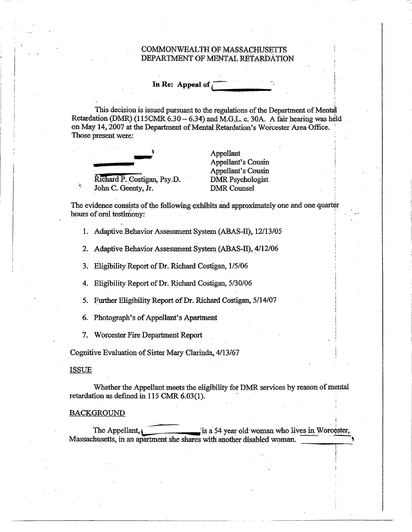### COMMONWEALTH OF MASSACHUSETTS DEPARTMENT OF MENTAL RETARDATION

# **In Re: Appeal of**

This decision is issued pursuant to the regulations of the Department of Mentail Retardation (DMR) (115CMR 6.30 — 6.34) and M.G.L. c. 30A. A fair hearing was held on May 14, 2007 at the Department of Mental Retardation's Worcester Area Office. Those present were:



Appellant Appellant's Cousin Appellant's Cousin

The evidence consists of the following exhibits and approximately one and one quarter hours of oral testimony:

1. Adaptive Behavior Assessment System (ABAS-II), 12/13/05

2. Adaptive Behavior Assessment System (ABAS-II), 4/12/06

3. Eligibility Report of Dr. Richard Costigan, 1/5/06

4. Eligibility Report of Dr. Richard Costigan, 5/30/06

5. Further Eligibility Report of Dr. Richard Costigan, 5/14/07

6. Photograph's of Appellant's Apartment

7. Worcester Fire Department Report

Cognitive Evaluation of Sister Mary Clarinda, 4/13/67

### ISSUE

Whether the Appellant meets the eligibility for DMR services by reason of mental retardation as defined in 115 CMR 6.03(1).

#### BACKGROUND

The Appellant, is a 54 year old woman who lives in Worcester, Massachusetts, in an apartment she shares with another disabled woman.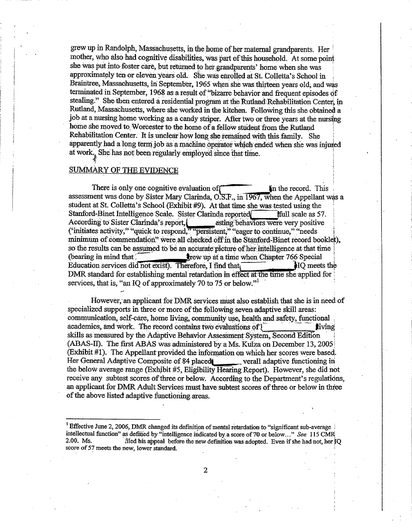grew up in Randolph, Massachusetts, in the home of her maternal grandparents. Her mother, who also had cognitive disabilities, was part of`this household. At some point she was put into foster care, but returned to her. grandparents' home when she was approximately ten **or** eleven years old. She was enrolled at St. Colletta's School in Braintree, Massachusetts, in September, 1965 when she was thirteen years old, and was terminated in September, 1968 as a result of "bizarre behavior and frequent episodes of stealing." She then entered a residential program at the Rutland Rehabilitation Center, in Rutland, Massachusetts, where she worked in the kitchen. Following this she obtained a job at a nursing home working as a candy striper. After two or three years at the nursing home she moved to Worcester to the home of a fellow student from the Rutland Rehabilitation Center. It is unclear how long she remained with this family. She apparently had a long term job as a machine operator which ended when she was injuied at work.. She has not been regularly employed since that time.

### SUMMARY OF THE EVIDENCE

There is only one cognitive evaluation of  $\Box$  in the record. This assessment was done by Sister Mary Clarinda,  $O.E.F.$ , in  $1967$ , when the Appellant was a student at St. Colletta's School (Exhibit #9). At that time she was tested using the Stanford-Binet Intelligence Scale. Sister Clarinda reported ffull scale as 57. According to Sister Clarinda's report, egisting behaviors were very positive ('initiates activity;" "quick to respond," "persistent," "eager to continue," "needs minimum of commendation" were all checked off in the Stanford-Binet record booklet), so the results can be assumed to be an accurate picture of her intelligence at that time  $($ bearing in mind that  $\qquad \qquad$  line when Chapter 766 Special Education services did not exist). Therefore, I find that  $\blacksquare$ DMR standard for establishing mental retardation in effect at the time she applied for services, that is, "an IQ of approximately 70 to 75 or below."<sup>1</sup>

However, an applicant for DMR services must also establish that she is in need of specialized supports in three or more of the following seven adaptive skill areas: communication, self-care, home living, community use, health and safety, functional academics, and work. The record contains two evaluations of  $\mathbf{I}$ skills as measured by the Adaptive Behavior Assessment.System, Second Edition. (ABAS-II). The first ABAS was administered by a Ms. Kulza on December 13, 2005 (Exhibit #1). The Appellant provided the information on which her scores were based. Her General Adaptive Composite of 84 placedi\_\_\_ verall adaptive functioning in the below average range (Exhibit #5, Eligibility Hearing Report). However, she did not receive any subtest scores of three or below. According to the Department's regulations, an applicant for DMR Adult Services must have subtest scores of three or below in three of the above listed adaptive functioning areas.

2

<sup>&</sup>lt;sup>I</sup> Effective June 2, 2006, DMR changed its definition of mental retardation to "significant sub-average intellectual fimction" as defified by "intelligence indicated by a score of 70 or below..." *See* 115 CMR  $2.001$  his appeal before the new definition was adopted. Even if she had not, her  $1Q$ score of 57 meets the new, lower standard.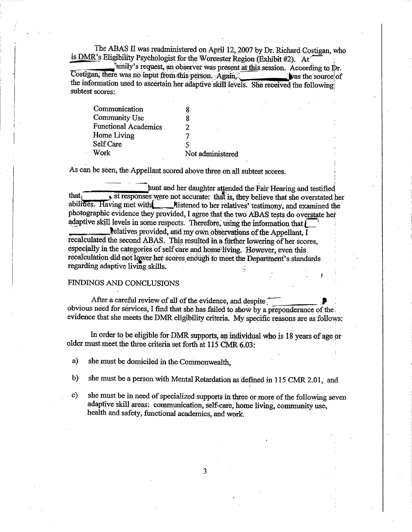The ABAS II was readministered on April 12, 2007 by Dr. Richard Costigan, who is DMR's Eligibility Psychologist for the Worcester Region (Exhibit #2). At

'amily's request, an observer was present at this session. According to Dr. Costigan, there was no input from this person. Again, was the source of the information used to ascertain her adaptive skill levels. She received the following subtest scores:

| Communication               |                  |
|-----------------------------|------------------|
| Community Use               | 8                |
| <b>Functional Academics</b> | 2                |
| Home Living                 |                  |
| Self Care                   | 5                |
| Work                        | Not administered |

As can be seen, the Appellant scored above three on all subtest scores.<br>
punt and her daughter attended the Fair Hearing and testified<br>
that,<br>
st responses were not accurate: that is they believe that she overstated that  $\overline{\text{I}}$  ist responses were not accurate: that is, they believe that she overstated her abilities. Having met with **111** Mistened to her relatives' testimony, and examined the photographic evidence they provided, I agree that the two ABAS tests do overstate het adaptive skill levels in some respects. Therefore, using the information that  $\int$ 

telatives provided, and my own observations of the Appellant,  $\overline{I}$ recalculated the second ABAS, This resulted in a further lowering of her scores, especially in the categories of self care and home living. However, even this recalculation did not lower her scores enough to meet the Department's standards regarding adaptive living skills.

## FINDINGS AND CONCLUSIONS

After a careful review of all of the evidence, and despite obvious need for services, I find that she has failed to show by a preponderance of the evidence that she meets the DMR eligibility criteria. My specific reasons are as follows:

In order to be eligible for DMR supports, an individual who is 18 years of age or older must meet the three criteria set forth at 115 CMR. 6.03:

a) she must be domiciled in the Commonwealth,

b) she must be a person with Mental Retardation as defined in 115 CMR 2.01, and

c) she must be in need of specialized supports in three or more of the following seven adaptive skill areas: communication, self-care, home living, community use, health and safety, functional academics, and work.